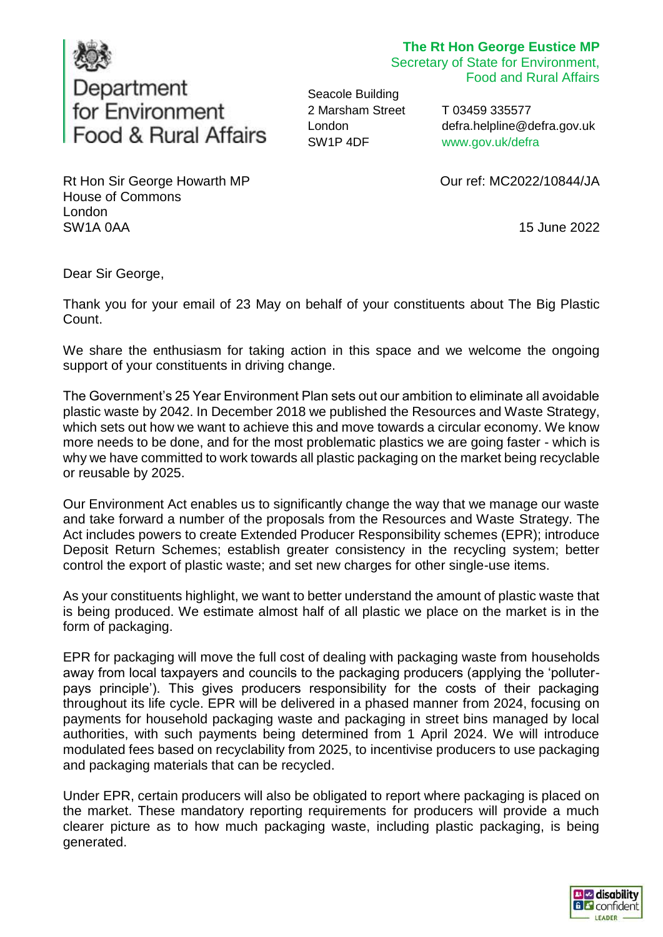

## **The Rt Hon George Eustice MP**

Secretary of State for Environment, Food and Rural Affairs

Seacole Building 2 Marsham Street London SW1P 4DF

T 03459 335577 defra.helpline@defra.gov.uk www.gov.uk/defra

Our ref: MC2022/10844/JA

15 June 2022

Rt Hon Sir George Howarth MP House of Commons London SW1A 0AA

Dear Sir George,

Thank you for your email of 23 May on behalf of your constituents about The Big Plastic Count.

We share the enthusiasm for taking action in this space and we welcome the ongoing support of your constituents in driving change.

The Government's 25 Year Environment Plan sets out our ambition to eliminate all avoidable plastic waste by 2042. In December 2018 we published the Resources and Waste Strategy, which sets out how we want to achieve this and move towards a circular economy. We know more needs to be done, and for the most problematic plastics we are going faster - which is why we have committed to work towards all plastic packaging on the market being recyclable or reusable by 2025.

Our Environment Act enables us to significantly change the way that we manage our waste and take forward a number of the proposals from the Resources and Waste Strategy. The Act includes powers to create Extended Producer Responsibility schemes (EPR); introduce Deposit Return Schemes; establish greater consistency in the recycling system; better control the export of plastic waste; and set new charges for other single-use items.

As your constituents highlight, we want to better understand the amount of plastic waste that is being produced. We estimate almost half of all plastic we place on the market is in the form of packaging.

EPR for packaging will move the full cost of dealing with packaging waste from households away from local taxpayers and councils to the packaging producers (applying the 'polluterpays principle'). This gives producers responsibility for the costs of their packaging throughout its life cycle. EPR will be delivered in a phased manner from 2024, focusing on payments for household packaging waste and packaging in street bins managed by local authorities, with such payments being determined from 1 April 2024. We will introduce modulated fees based on recyclability from 2025, to incentivise producers to use packaging and packaging materials that can be recycled.

Under EPR, certain producers will also be obligated to report where packaging is placed on the market. These mandatory reporting requirements for producers will provide a much clearer picture as to how much packaging waste, including plastic packaging, is being generated.